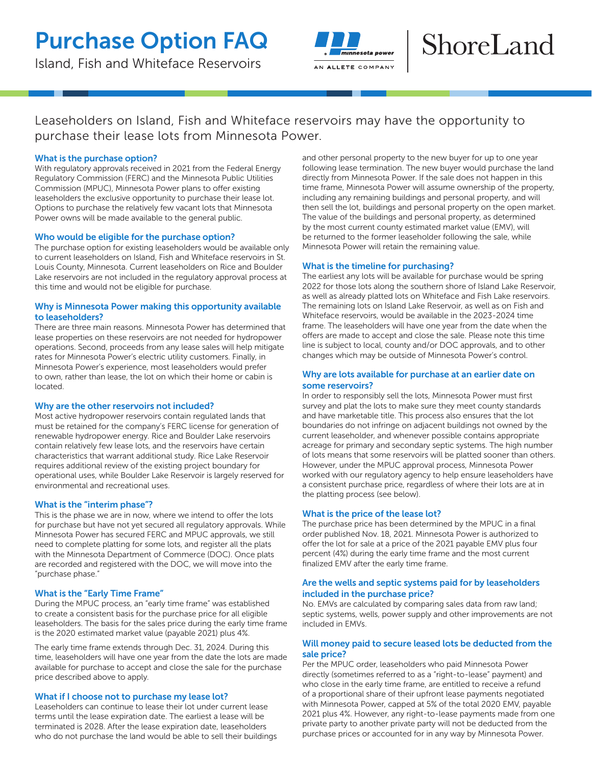# Purchase Option FAQ

Island, Fish and Whiteface Reservoirs



# ShoreLand

Leaseholders on Island, Fish and Whiteface reservoirs may have the opportunity to purchase their lease lots from Minnesota Power.

# What is the purchase option?

With regulatory approvals received in 2021 from the Federal Energy Regulatory Commission (FERC) and the Minnesota Public Utilities Commission (MPUC), Minnesota Power plans to offer existing leaseholders the exclusive opportunity to purchase their lease lot. Options to purchase the relatively few vacant lots that Minnesota Power owns will be made available to the general public.

# Who would be eligible for the purchase option?

The purchase option for existing leaseholders would be available only to current leaseholders on Island, Fish and Whiteface reservoirs in St. Louis County, Minnesota. Current leaseholders on Rice and Boulder Lake reservoirs are not included in the regulatory approval process at this time and would not be eligible for purchase.

# Why is Minnesota Power making this opportunity available to leaseholders?

There are three main reasons. Minnesota Power has determined that lease properties on these reservoirs are not needed for hydropower operations. Second, proceeds from any lease sales will help mitigate rates for Minnesota Power's electric utility customers. Finally, in Minnesota Power's experience, most leaseholders would prefer to own, rather than lease, the lot on which their home or cabin is located.

# Why are the other reservoirs not included?

Most active hydropower reservoirs contain regulated lands that must be retained for the company's FERC license for generation of renewable hydropower energy. Rice and Boulder Lake reservoirs contain relatively few lease lots, and the reservoirs have certain characteristics that warrant additional study. Rice Lake Reservoir requires additional review of the existing project boundary for operational uses, while Boulder Lake Reservoir is largely reserved for environmental and recreational uses.

# What is the "interim phase"?

This is the phase we are in now, where we intend to offer the lots for purchase but have not yet secured all regulatory approvals. While Minnesota Power has secured FERC and MPUC approvals, we still need to complete platting for some lots, and register all the plats with the Minnesota Department of Commerce (DOC). Once plats are recorded and registered with the DOC, we will move into the "purchase phase."

# What is the "Early Time Frame"

During the MPUC process, an "early time frame" was established to create a consistent basis for the purchase price for all eligible leaseholders. The basis for the sales price during the early time frame is the 2020 estimated market value (payable 2021) plus 4%.

The early time frame extends through Dec. 31, 2024. During this time, leaseholders will have one year from the date the lots are made available for purchase to accept and close the sale for the purchase price described above to apply.

# What if I choose not to purchase my lease lot?

Leaseholders can continue to lease their lot under current lease terms until the lease expiration date. The earliest a lease will be terminated is 2028. After the lease expiration date, leaseholders who do not purchase the land would be able to sell their buildings and other personal property to the new buyer for up to one year following lease termination. The new buyer would purchase the land directly from Minnesota Power. If the sale does not happen in this time frame, Minnesota Power will assume ownership of the property, including any remaining buildings and personal property, and will then sell the lot, buildings and personal property on the open market. The value of the buildings and personal property, as determined by the most current county estimated market value (EMV), will be returned to the former leaseholder following the sale, while Minnesota Power will retain the remaining value.

# What is the timeline for purchasing?

The earliest any lots will be available for purchase would be spring 2022 for those lots along the southern shore of Island Lake Reservoir, as well as already platted lots on Whiteface and Fish Lake reservoirs. The remaining lots on Island Lake Reservoir, as well as on Fish and Whiteface reservoirs, would be available in the 2023-2024 time frame. The leaseholders will have one year from the date when the offers are made to accept and close the sale. Please note this time line is subject to local, county and/or DOC approvals, and to other changes which may be outside of Minnesota Power's control.

# Why are lots available for purchase at an earlier date on some reservoirs?

In order to responsibly sell the lots, Minnesota Power must first survey and plat the lots to make sure they meet county standards and have marketable title. This process also ensures that the lot boundaries do not infringe on adjacent buildings not owned by the current leaseholder, and whenever possible contains appropriate acreage for primary and secondary septic systems. The high number of lots means that some reservoirs will be platted sooner than others. However, under the MPUC approval process, Minnesota Power worked with our regulatory agency to help ensure leaseholders have a consistent purchase price, regardless of where their lots are at in the platting process (see below).

# What is the price of the lease lot?

The purchase price has been determined by the MPUC in a final order published Nov. 18, 2021. Minnesota Power is authorized to offer the lot for sale at a price of the 2021 payable EMV plus four percent (4%) during the early time frame and the most current finalized EMV after the early time frame.

# Are the wells and septic systems paid for by leaseholders included in the purchase price?

No. EMVs are calculated by comparing sales data from raw land; septic systems, wells, power supply and other improvements are not included in EMVs.

# Will money paid to secure leased lots be deducted from the sale price?

Per the MPUC order, leaseholders who paid Minnesota Power directly (sometimes referred to as a "right-to-lease" payment) and who close in the early time frame, are entitled to receive a refund of a proportional share of their upfront lease payments negotiated with Minnesota Power, capped at 5% of the total 2020 EMV, payable 2021 plus 4%. However, any right-to-lease payments made from one private party to another private party will not be deducted from the purchase prices or accounted for in any way by Minnesota Power.